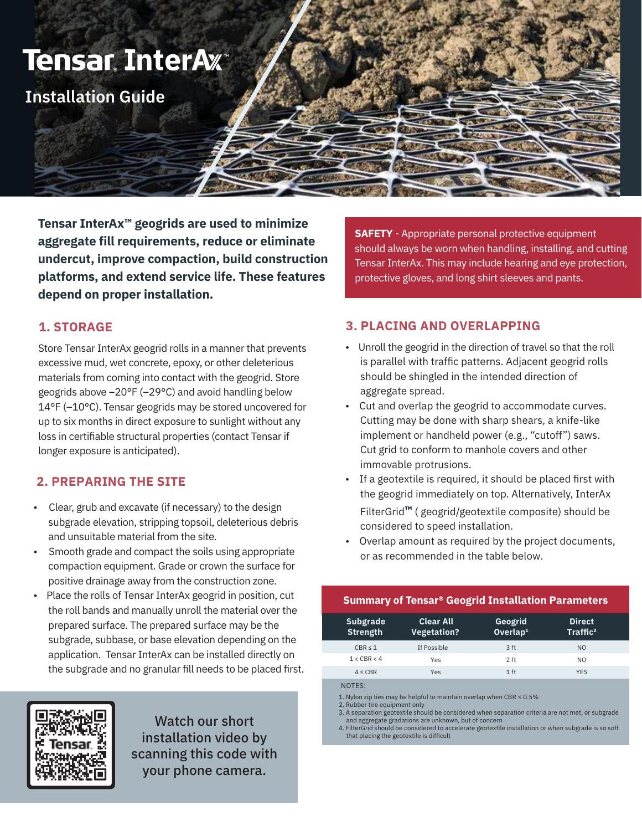

**Tensar InterAx™ geogrids are used to minimize aggregate fill requirements, reduce or eliminate undercut, improve compaction, build construction platforms, and extend service life. These features depend on proper installation.**

**SAFETY** - Appropriate personal protective equipment should always be worn when handling, installing, and cutting Tensar InterAx. This may include hearing and eye protection, protective gloves, and long shirt sleeves and pants.

### **1. STORAGE**

Store Tensar InterAx geogrid rolls in a manner that prevents excessive mud, wet concrete, epoxy, or other deleterious materials from coming into contact with the geogrid. Store geogrids above –20°F (–29°C) and avoid handling below 14°F (–10°C). Tensar geogrids may be stored uncovered for up to six months in direct exposure to sunlight without any loss in certifiable structural properties (contact Tensar if longer exposure is anticipated).

#### **2. PREPARING THE SITE**

- Clear, grub and excavate (if necessary) to the design subgrade elevation, stripping topsoil, deleterious debris and unsuitable material from the site.
- Smooth grade and compact the soils using appropriate compaction equipment. Grade or crown the surface for positive drainage away from the construction zone.
- Place the rolls of Tensar InterAx geogrid in position, cut the roll bands and manually unroll the material over the prepared surface. The prepared surface may be the subgrade, subbase, or base elevation depending on the application. Tensar InterAx can be installed directly on the subgrade and no granular fill needs to be placed first.

### **3. PLACING AND OVERLAPPING**

- Unroll the geogrid in the direction of travel so that the roll is parallel with traffic patterns. Adjacent geogrid rolls should be shingled in the intended direction of aggregate spread.
- Cut and overlap the geogrid to accommodate curves. Cutting may be done with sharp shears, a knife-like implement or handheld power (e.g., "cutoff") saws. Cut grid to conform to manhole covers and other immovable protrusions.
- If a geotextile is required, it should be placed first with the geogrid immediately on top. Alternatively, InterAx FilterGrid**™** ( geogrid/geotextile composite) should be considered to speed installation.
- Overlap amount as required by the project documents, or as recommended in the table below.

#### **Summary of Tensar® Geogrid Installation Parameters**

| Subgrade<br><b>Strength</b> | <b>Clear All</b><br><b>Vegetation?</b> | Geogrid<br>Overlap <sup>1</sup> | <b>Direct</b><br>Traffic <sup>2</sup> |
|-----------------------------|----------------------------------------|---------------------------------|---------------------------------------|
| CBR < 1                     | If Possible                            | 3 <sub>ft</sub>                 | N <sub>O</sub>                        |
| 1 < CBR < 4                 | Yes                                    | $2$ ft                          | NO.                                   |
| 4 < CBR                     | Yes                                    | $1$ ft                          | <b>YES</b>                            |

NOTES:

1. Nylon zip ties may be helpful to maintain overlap when CBR  $\leq 0.5\%$ 

- 
- 2. Rubber tire equipment only 3. A separation geotextile should be considered when separation criteria are not met, or subgrade and aggregate gradations are unknown, but of concern

4. FilterGrid should be considered to accelerate geotextile installation or when subgrade is so soft that placing the geotextile is difficult



Watch our short installation video by scanning this code with your phone camera.